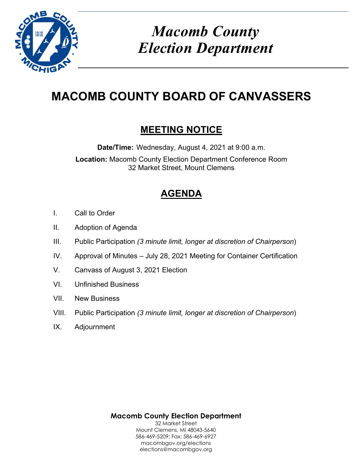

# *Macomb County Election Department*

## **MACOMB COUNTY BOARD OF CANVASSERS**

### **MEETING NOTICE**

**Date/Time:** Wednesday, August 4, 2021 at 9:00 a.m. **Location:** Macomb County Election Department Conference Room 32 Market Street, Mount Clemens

## **AGENDA**

- I. Call to Order
- II. Adoption of Agenda
- III. Public Participation *(3 minute limit, longer at discretion of Chairperson*)
- IV. Approval of Minutes July 28, 2021 Meeting for Container Certification
- V. Canvass of August 3, 2021 Election
- VI. Unfinished Business
- VII. New Business
- VIII. Public Participation *(3 minute limit, longer at discretion of Chairperson*)
- IX. Adjournment

**Macomb County Election Department** 32 Market Street Mount Clemens, MI 48043-5640 586-469-5209; Fax: 586-469-6927 macombgov.org/elections elections@macombgov.org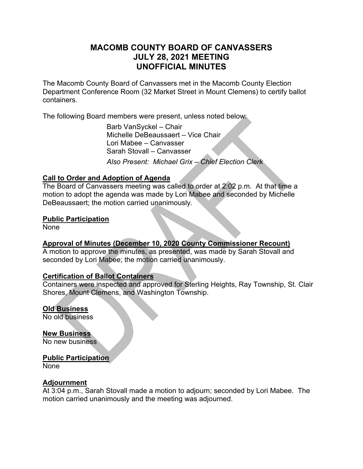#### **MACOMB COUNTY BOARD OF CANVASSERS JULY 28, 2021 MEETING UNOFFICIAL MINUTES**

The Macomb County Board of Canvassers met in the Macomb County Election Department Conference Room (32 Market Street in Mount Clemens) to certify ballot containers.

The following Board members were present, unless noted below:

 Barb VanSyckel – Chair Michelle DeBeaussaert – Vice Chair Lori Mabee – Canvasser Sarah Stovall – Canvasser *Also Present: Michael Grix – Chief Election Clerk* 

#### **Call to Order and Adoption of Agenda**

The Board of Canvassers meeting was called to order at 2:02 p.m. At that time a motion to adopt the agenda was made by Lori Mabee and seconded by Michelle DeBeaussaert; the motion carried unanimously.

#### **Public Participation**

None

#### **Approval of Minutes (December 10, 2020 County Commissioner Recount)**

A motion to approve the minutes, as presented, was made by Sarah Stovall and seconded by Lori Mabee; the motion carried unanimously.

#### **Certification of Ballot Containers**

Containers were inspected and approved for Sterling Heights, Ray Township, St. Clair Shores, Mount Clemens, and Washington Township.

#### **Old Business**

No old business

**New Business**  No new business

#### **Public Participation**

None

#### **Adjournment**

At 3:04 p.m., Sarah Stovall made a motion to adjourn; seconded by Lori Mabee. The motion carried unanimously and the meeting was adjourned.